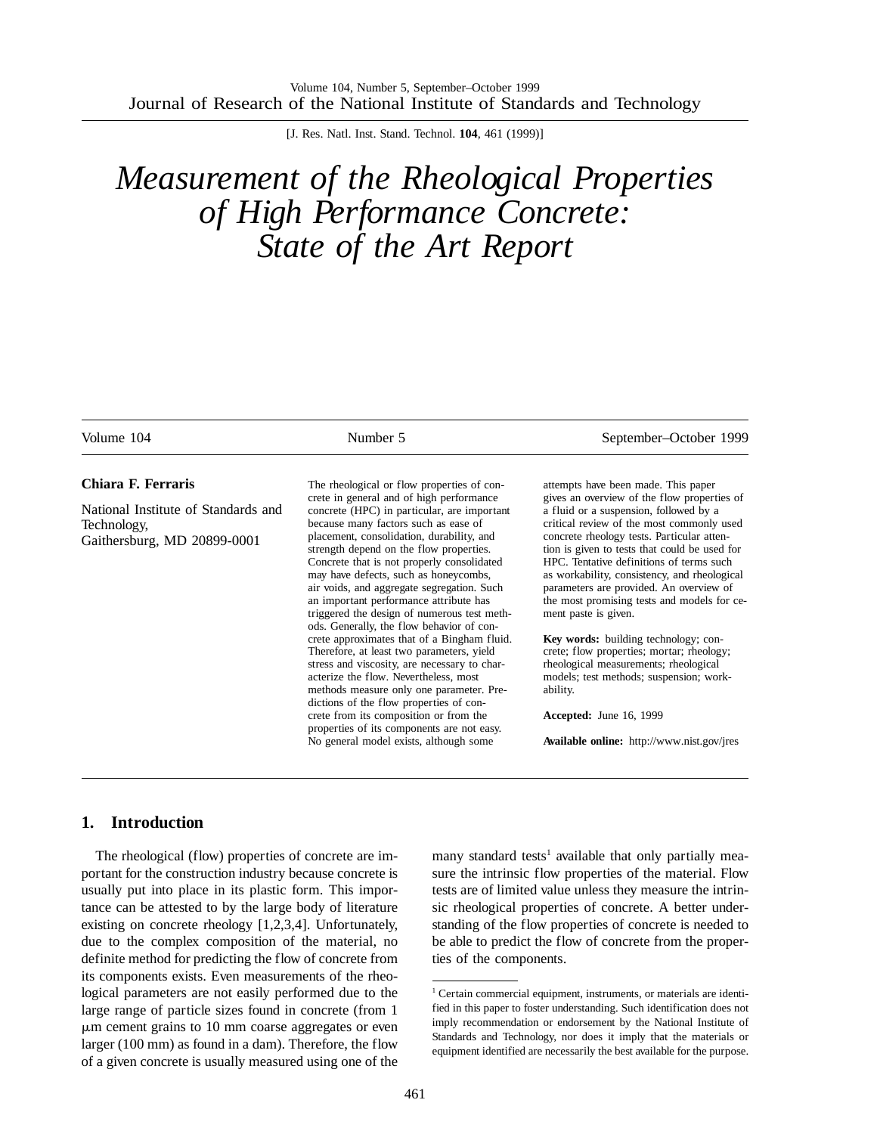[J. Res. Natl. Inst. Stand. Technol. **104**, 461 (1999)]

# *Measurement of the Rheological Properties of High Performance Concrete: State of the Art Report*

| Volume 104                          | Number 5                                                                                                                                                                                                                                                                                                                                                        | September-October 1999                                                                                                                                                                                                                                                                                    |
|-------------------------------------|-----------------------------------------------------------------------------------------------------------------------------------------------------------------------------------------------------------------------------------------------------------------------------------------------------------------------------------------------------------------|-----------------------------------------------------------------------------------------------------------------------------------------------------------------------------------------------------------------------------------------------------------------------------------------------------------|
| Chiara F. Ferraris                  | The rheological or flow properties of con-<br>crete in general and of high performance                                                                                                                                                                                                                                                                          | attempts have been made. This paper<br>gives an overview of the flow properties of                                                                                                                                                                                                                        |
| National Institute of Standards and | concrete (HPC) in particular, are important                                                                                                                                                                                                                                                                                                                     | a fluid or a suspension, followed by a                                                                                                                                                                                                                                                                    |
| Technology,                         | because many factors such as ease of                                                                                                                                                                                                                                                                                                                            | critical review of the most commonly used                                                                                                                                                                                                                                                                 |
| Gaithersburg, MD 20899-0001         | placement, consolidation, durability, and<br>strength depend on the flow properties.<br>Concrete that is not properly consolidated<br>may have defects, such as honeycombs,<br>air voids, and aggregate segregation. Such<br>an important performance attribute has<br>triggered the design of numerous test meth-<br>ods. Generally, the flow behavior of con- | concrete rheology tests. Particular atten-<br>tion is given to tests that could be used for<br>HPC. Tentative definitions of terms such<br>as workability, consistency, and rheological<br>parameters are provided. An overview of<br>the most promising tests and models for ce-<br>ment paste is given. |
|                                     | crete approximates that of a Bingham fluid.<br>Therefore, at least two parameters, yield<br>stress and viscosity, are necessary to char-<br>acterize the flow. Nevertheless, most<br>methods measure only one parameter. Pre-<br>dictions of the flow properties of con-                                                                                        | Key words: building technology; con-<br>crete; flow properties; mortar; rheology;<br>rheological measurements; rheological<br>models; test methods; suspension; work-<br>ability.                                                                                                                         |
|                                     | crete from its composition or from the<br>properties of its components are not easy.                                                                                                                                                                                                                                                                            | <b>Accepted:</b> June 16, 1999                                                                                                                                                                                                                                                                            |
|                                     | No general model exists, although some                                                                                                                                                                                                                                                                                                                          | Available online: http://www.nist.gov/jres                                                                                                                                                                                                                                                                |

# **1. Introduction**

The rheological (flow) properties of concrete are important for the construction industry because concrete is usually put into place in its plastic form. This importance can be attested to by the large body of literature existing on concrete rheology [1,2,3,4]. Unfortunately, due to the complex composition of the material, no definite method for predicting the flow of concrete from its components exists. Even measurements of the rheological parameters are not easily performed due to the large range of particle sizes found in concrete (from 1  $\mu$ m cement grains to 10 mm coarse aggregates or even larger (100 mm) as found in a dam). Therefore, the flow of a given concrete is usually measured using one of the

many standard tests<sup>1</sup> available that only partially measure the intrinsic flow properties of the material. Flow tests are of limited value unless they measure the intrinsic rheological properties of concrete. A better understanding of the flow properties of concrete is needed to be able to predict the flow of concrete from the properties of the components.

<sup>&</sup>lt;sup>1</sup> Certain commercial equipment, instruments, or materials are identified in this paper to foster understanding. Such identification does not imply recommendation or endorsement by the National Institute of Standards and Technology, nor does it imply that the materials or equipment identified are necessarily the best available for the purpose.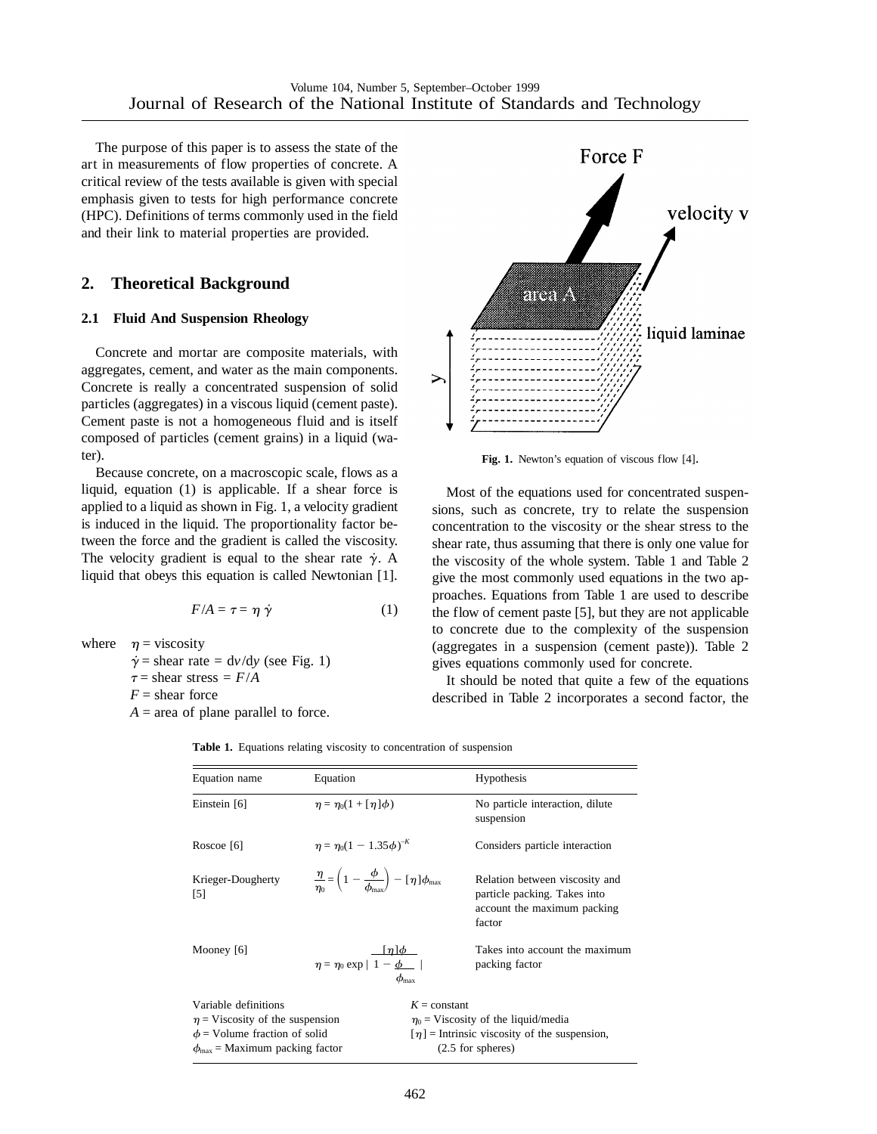The purpose of this paper is to assess the state of the art in measurements of flow properties of concrete. A critical review of the tests available is given with special emphasis given to tests for high performance concrete (HPC). Definitions of terms commonly used in the field and their link to material properties are provided.

# **2. Theoretical Background**

# **2.1 Fluid And Suspension Rheology**

Concrete and mortar are composite materials, with aggregates, cement, and water as the main components. Concrete is really a concentrated suspension of solid particles (aggregates) in a viscous liquid (cement paste). Cement paste is not a homogeneous fluid and is itself composed of particles (cement grains) in a liquid (water).

Because concrete, on a macroscopic scale, flows as a liquid, equation (1) is applicable. If a shear force is applied to a liquid as shown in Fig. 1, a velocity gradient is induced in the liquid. The proportionality factor between the force and the gradient is called the viscosity. The velocity gradient is equal to the shear rate  $\dot{\gamma}$ . A liquid that obeys this equation is called Newtonian [1].

$$
F/A = \tau = \eta \dot{\gamma} \tag{1}
$$

where  $\eta$  = viscosity

- $\dot{\gamma}$  = shear rate = d*v*/d*y* (see Fig. 1)
- $\tau$  = shear stress =  $F/A$

 $F =$ shear force

 $A =$  area of plane parallel to force.



**Fig. 1.** Newton's equation of viscous flow [4].

Most of the equations used for concentrated suspensions, such as concrete, try to relate the suspension concentration to the viscosity or the shear stress to the shear rate, thus assuming that there is only one value for the viscosity of the whole system. Table 1 and Table 2 give the most commonly used equations in the two approaches. Equations from Table 1 are used to describe the flow of cement paste [5], but they are not applicable to concrete due to the complexity of the suspension (aggregates in a suspension (cement paste)). Table 2 gives equations commonly used for concrete.

It should be noted that quite a few of the equations described in Table 2 incorporates a second factor, the

| Equation name                                                                                                                                     | Equation                                                                                                  | <b>Hypothesis</b>                                                                                                                                  |
|---------------------------------------------------------------------------------------------------------------------------------------------------|-----------------------------------------------------------------------------------------------------------|----------------------------------------------------------------------------------------------------------------------------------------------------|
| Einstein [6]                                                                                                                                      | $\eta = \eta_0(1 + \lceil \eta \rceil \phi)$                                                              | No particle interaction, dilute<br>suspension                                                                                                      |
| Roscoe [6]                                                                                                                                        | $\eta = \eta_0 (1 - 1.35 \phi)^{-K}$                                                                      | Considers particle interaction                                                                                                                     |
| Krieger-Dougherty<br>$\lceil 5 \rceil$                                                                                                            | $\frac{\eta}{n_e} = \left(1 - \frac{\phi}{\phi_{\text{max}}}\right) - \left[\eta\right]\phi_{\text{max}}$ | Relation between viscosity and<br>particle packing. Takes into<br>account the maximum packing<br>factor                                            |
| Mooney [6]                                                                                                                                        | $\eta = \eta_0 \exp \left( \frac{1 \eta \phi}{1 - \phi} \right)$                                          | Takes into account the maximum<br>packing factor                                                                                                   |
| Variable definitions<br>$\eta$ = Viscosity of the suspension<br>$\phi$ = Volume fraction of solid<br>$\phi_{\text{max}}$ = Maximum packing factor |                                                                                                           | $K = constant$<br>$\eta_0$ = Viscosity of the liquid/media<br>$\lceil \eta \rceil$ = Intrinsic viscosity of the suspension,<br>$(2.5$ for spheres) |

|  |  | <b>Table 1.</b> Equations relating viscosity to concentration of suspension |  |
|--|--|-----------------------------------------------------------------------------|--|
|  |  |                                                                             |  |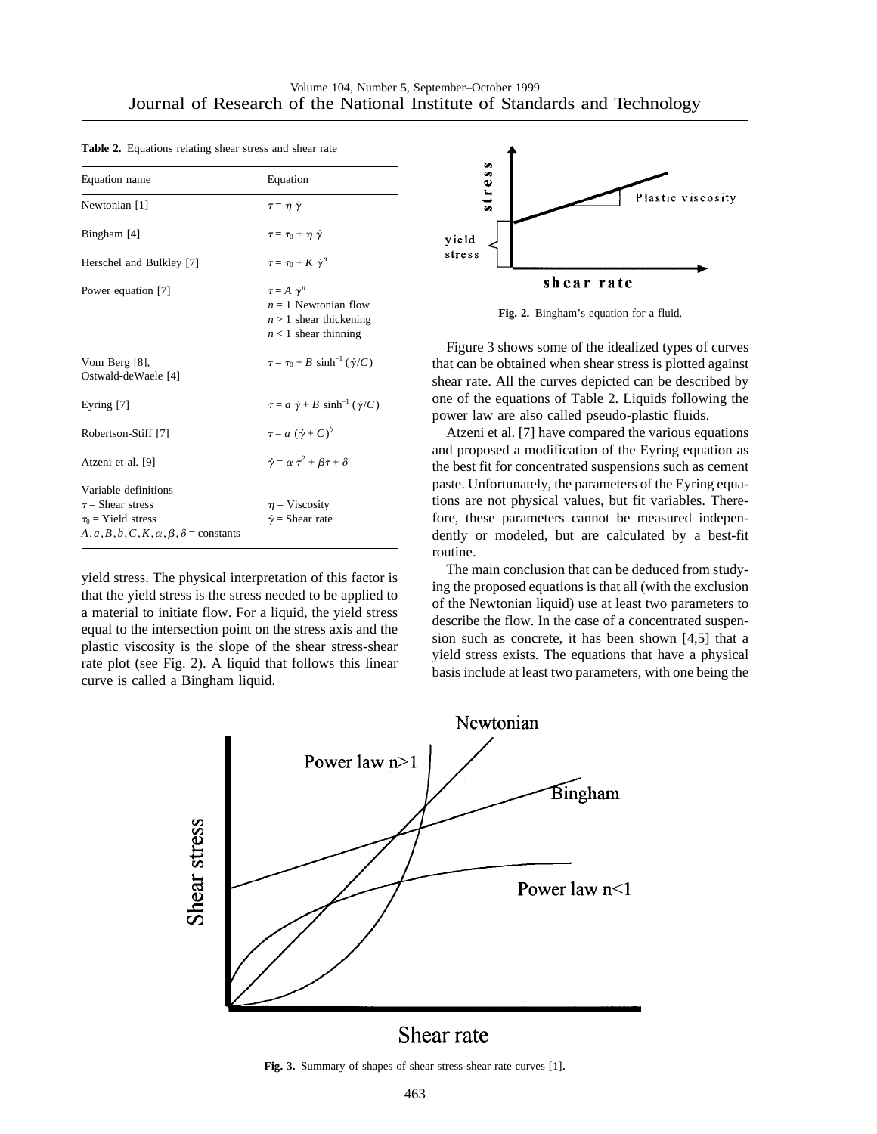| <b>Equation</b> name                                                                                                              | Equation                                                                                            |
|-----------------------------------------------------------------------------------------------------------------------------------|-----------------------------------------------------------------------------------------------------|
| Newtonian [1]                                                                                                                     | $\tau = \eta \dot{\gamma}$                                                                          |
| Bingham [4]                                                                                                                       | $\tau = \tau_0 + \eta \dot{\gamma}$                                                                 |
| Herschel and Bulkley [7]                                                                                                          | $\tau = \tau_0 + K \dot{\gamma}^n$                                                                  |
| Power equation [7]                                                                                                                | $\tau = A \gamma^n$<br>$n = 1$ Newtonian flow<br>$n > 1$ shear thickening<br>$n < 1$ shear thinning |
| Vom Berg [8],<br>Ostwald-deWaele [4]                                                                                              | $\tau = \tau_0 + B \sinh^{-1}(\dot{\gamma}/C)$                                                      |
| Eyring [7]                                                                                                                        | $\tau = a \dot{\gamma} + B \sinh^{-1} (\dot{\gamma}/C)$                                             |
| Robertson-Stiff [7]                                                                                                               | $\tau = a (\dot{\gamma} + C)^b$                                                                     |
| Atzeni et al. [9]                                                                                                                 | $\dot{\gamma} = \alpha \tau^2 + \beta \tau + \delta$                                                |
| Variable definitions<br>$\tau$ = Shear stress<br>$\tau_0$ = Yield stress<br>$A, a, B, b, C, K, \alpha, \beta, \delta$ = constants | $\eta$ = Viscosity<br>$\dot{\gamma}$ = Shear rate                                                   |

| <b>Table 2.</b> Equations relating shear stress and shear rate |  |  |  |  |
|----------------------------------------------------------------|--|--|--|--|
|----------------------------------------------------------------|--|--|--|--|

yield stress. The physical interpretation of this factor is that the yield stress is the stress needed to be applied to a material to initiate flow. For a liquid, the yield stress equal to the intersection point on the stress axis and the plastic viscosity is the slope of the shear stress-shear rate plot (see Fig. 2). A liquid that follows this linear curve is called a Bingham liquid.



**Fig. 2.** Bingham's equation for a fluid.

Figure 3 shows some of the idealized types of curves that can be obtained when shear stress is plotted against shear rate. All the curves depicted can be described by one of the equations of Table 2. Liquids following the power law are also called pseudo-plastic fluids.

Atzeni et al. [7] have compared the various equations and proposed a modification of the Eyring equation as the best fit for concentrated suspensions such as cement paste. Unfortunately, the parameters of the Eyring equations are not physical values, but fit variables. Therefore, these parameters cannot be measured independently or modeled, but are calculated by a best-fit routine.

The main conclusion that can be deduced from studying the proposed equations is that all (with the exclusion of the Newtonian liquid) use at least two parameters to describe the flow. In the case of a concentrated suspension such as concrete, it has been shown [4,5] that a yield stress exists. The equations that have a physical basis include at least two parameters, with one being the



# Shear rate

**Fig. 3.** Summary of shapes of shear stress-shear rate curves [1].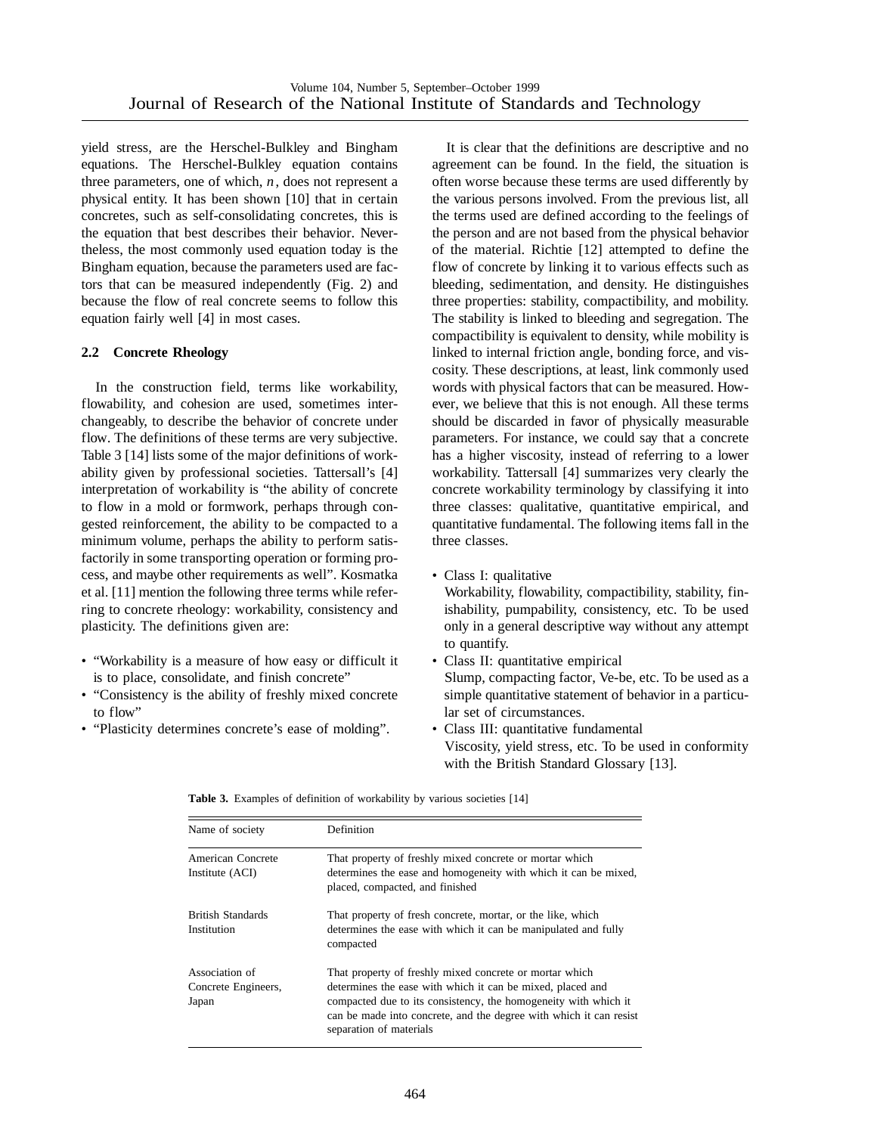yield stress, are the Herschel-Bulkley and Bingham equations. The Herschel-Bulkley equation contains three parameters, one of which, *n*, does not represent a physical entity. It has been shown [10] that in certain concretes, such as self-consolidating concretes, this is the equation that best describes their behavior. Nevertheless, the most commonly used equation today is the Bingham equation, because the parameters used are factors that can be measured independently (Fig. 2) and because the flow of real concrete seems to follow this equation fairly well [4] in most cases.

# **2.2 Concrete Rheology**

In the construction field, terms like workability, flowability, and cohesion are used, sometimes interchangeably, to describe the behavior of concrete under flow. The definitions of these terms are very subjective. Table 3 [14] lists some of the major definitions of workability given by professional societies. Tattersall's [4] interpretation of workability is "the ability of concrete to flow in a mold or formwork, perhaps through congested reinforcement, the ability to be compacted to a minimum volume, perhaps the ability to perform satisfactorily in some transporting operation or forming process, and maybe other requirements as well". Kosmatka et al. [11] mention the following three terms while referring to concrete rheology: workability, consistency and plasticity. The definitions given are:

- "Workability is a measure of how easy or difficult it is to place, consolidate, and finish concrete"
- "Consistency is the ability of freshly mixed concrete to flow"
- "Plasticity determines concrete's ease of molding".

It is clear that the definitions are descriptive and no agreement can be found. In the field, the situation is often worse because these terms are used differently by the various persons involved. From the previous list, all the terms used are defined according to the feelings of the person and are not based from the physical behavior of the material. Richtie [12] attempted to define the flow of concrete by linking it to various effects such as bleeding, sedimentation, and density. He distinguishes three properties: stability, compactibility, and mobility. The stability is linked to bleeding and segregation. The compactibility is equivalent to density, while mobility is linked to internal friction angle, bonding force, and viscosity. These descriptions, at least, link commonly used words with physical factors that can be measured. However, we believe that this is not enough. All these terms should be discarded in favor of physically measurable parameters. For instance, we could say that a concrete has a higher viscosity, instead of referring to a lower workability. Tattersall [4] summarizes very clearly the concrete workability terminology by classifying it into three classes: qualitative, quantitative empirical, and quantitative fundamental. The following items fall in the three classes.

• Class I: qualitative

Workability, flowability, compactibility, stability, finishability, pumpability, consistency, etc. To be used only in a general descriptive way without any attempt to quantify.

- Class II: quantitative empirical Slump, compacting factor, Ve-be, etc. To be used as a simple quantitative statement of behavior in a particular set of circumstances.
- Class III: quantitative fundamental Viscosity, yield stress, etc. To be used in conformity with the British Standard Glossary [13].

| Name of society                                | Definition                                                                                                                                                                                                                                                                                |
|------------------------------------------------|-------------------------------------------------------------------------------------------------------------------------------------------------------------------------------------------------------------------------------------------------------------------------------------------|
| American Concrete<br>Institute (ACI)           | That property of freshly mixed concrete or mortar which<br>determines the ease and homogeneity with which it can be mixed,<br>placed, compacted, and finished                                                                                                                             |
| British Standards<br>Institution               | That property of fresh concrete, mortar, or the like, which<br>determines the ease with which it can be manipulated and fully<br>compacted                                                                                                                                                |
| Association of<br>Concrete Engineers,<br>Japan | That property of freshly mixed concrete or mortar which<br>determines the ease with which it can be mixed, placed and<br>compacted due to its consistency, the homogeneity with which it<br>can be made into concrete, and the degree with which it can resist<br>separation of materials |

**Table 3.** Examples of definition of workability by various societies [14]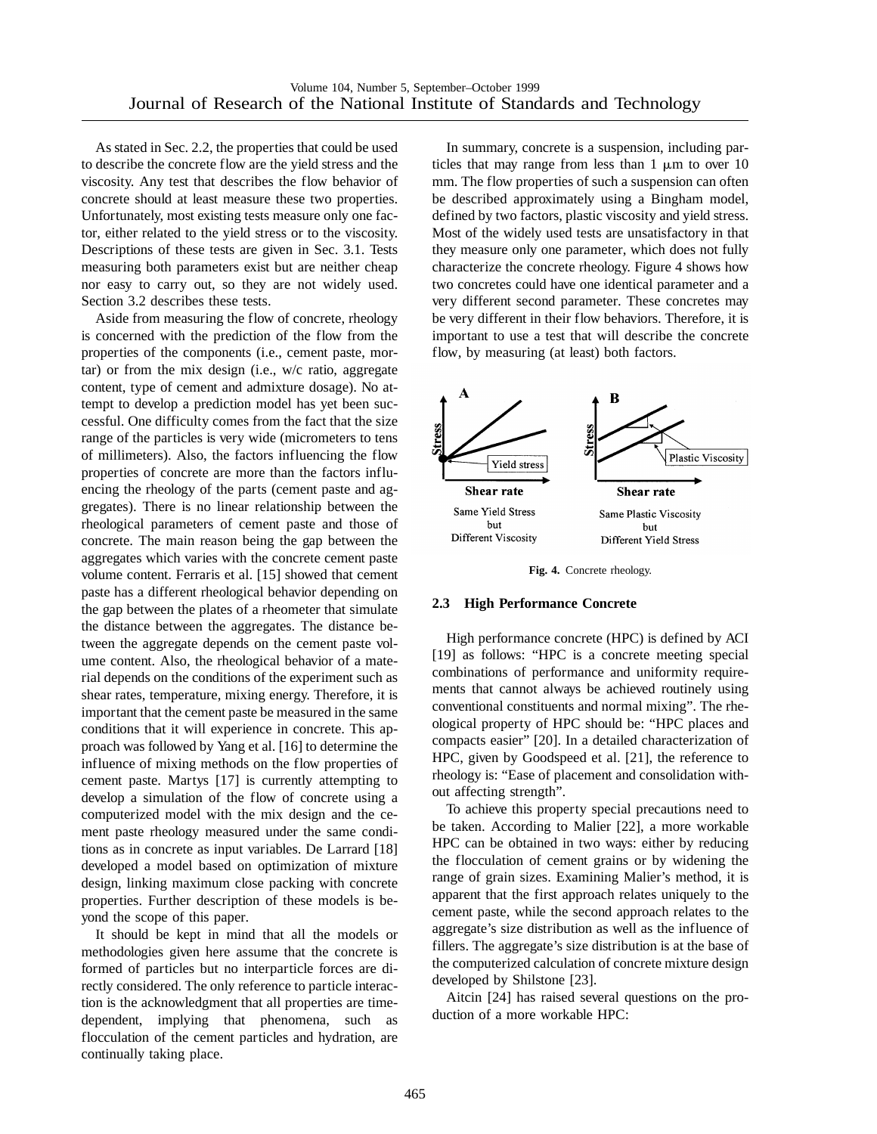As stated in Sec. 2.2, the properties that could be used to describe the concrete flow are the yield stress and the viscosity. Any test that describes the flow behavior of concrete should at least measure these two properties. Unfortunately, most existing tests measure only one factor, either related to the yield stress or to the viscosity. Descriptions of these tests are given in Sec. 3.1. Tests measuring both parameters exist but are neither cheap nor easy to carry out, so they are not widely used. Section 3.2 describes these tests.

Aside from measuring the flow of concrete, rheology is concerned with the prediction of the flow from the properties of the components (i.e., cement paste, mortar) or from the mix design (i.e., w/c ratio, aggregate content, type of cement and admixture dosage). No attempt to develop a prediction model has yet been successful. One difficulty comes from the fact that the size range of the particles is very wide (micrometers to tens of millimeters). Also, the factors influencing the flow properties of concrete are more than the factors influencing the rheology of the parts (cement paste and aggregates). There is no linear relationship between the rheological parameters of cement paste and those of concrete. The main reason being the gap between the aggregates which varies with the concrete cement paste volume content. Ferraris et al. [15] showed that cement paste has a different rheological behavior depending on the gap between the plates of a rheometer that simulate the distance between the aggregates. The distance between the aggregate depends on the cement paste volume content. Also, the rheological behavior of a material depends on the conditions of the experiment such as shear rates, temperature, mixing energy. Therefore, it is important that the cement paste be measured in the same conditions that it will experience in concrete. This approach was followed by Yang et al. [16] to determine the influence of mixing methods on the flow properties of cement paste. Martys [17] is currently attempting to develop a simulation of the flow of concrete using a computerized model with the mix design and the cement paste rheology measured under the same conditions as in concrete as input variables. De Larrard [18] developed a model based on optimization of mixture design, linking maximum close packing with concrete properties. Further description of these models is beyond the scope of this paper.

It should be kept in mind that all the models or methodologies given here assume that the concrete is formed of particles but no interparticle forces are directly considered. The only reference to particle interaction is the acknowledgment that all properties are timedependent, implying that phenomena, such as flocculation of the cement particles and hydration, are continually taking place.

In summary, concrete is a suspension, including particles that may range from less than  $1 \mu m$  to over  $10$ mm. The flow properties of such a suspension can often be described approximately using a Bingham model, defined by two factors, plastic viscosity and yield stress. Most of the widely used tests are unsatisfactory in that they measure only one parameter, which does not fully characterize the concrete rheology. Figure 4 shows how two concretes could have one identical parameter and a very different second parameter. These concretes may be very different in their flow behaviors. Therefore, it is important to use a test that will describe the concrete flow, by measuring (at least) both factors.



**Fig. 4.** Concrete rheology.

#### **2.3 High Performance Concrete**

High performance concrete (HPC) is defined by ACI [19] as follows: "HPC is a concrete meeting special combinations of performance and uniformity requirements that cannot always be achieved routinely using conventional constituents and normal mixing". The rheological property of HPC should be: "HPC places and compacts easier" [20]. In a detailed characterization of HPC, given by Goodspeed et al. [21], the reference to rheology is: "Ease of placement and consolidation without affecting strength".

To achieve this property special precautions need to be taken. According to Malier [22], a more workable HPC can be obtained in two ways: either by reducing the flocculation of cement grains or by widening the range of grain sizes. Examining Malier's method, it is apparent that the first approach relates uniquely to the cement paste, while the second approach relates to the aggregate's size distribution as well as the influence of fillers. The aggregate's size distribution is at the base of the computerized calculation of concrete mixture design developed by Shilstone [23].

Aitcin [24] has raised several questions on the production of a more workable HPC: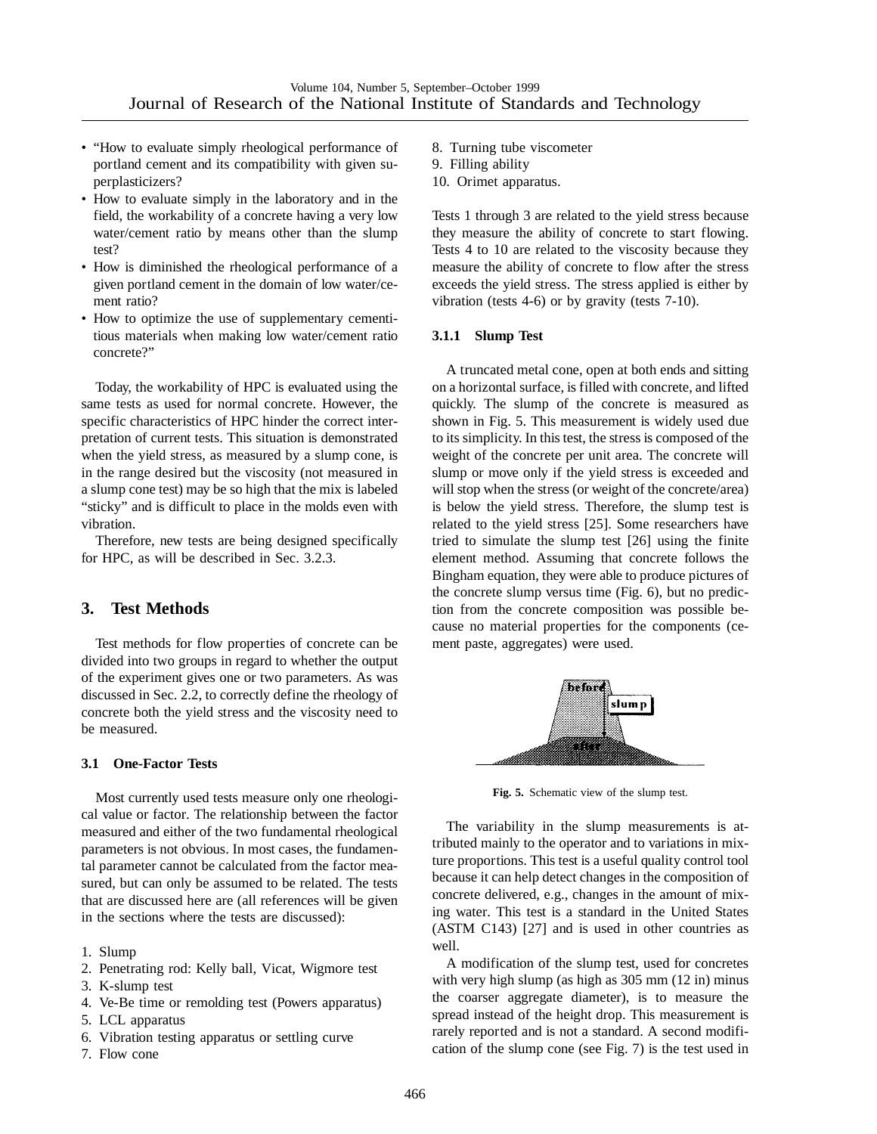- "How to evaluate simply rheological performance of portland cement and its compatibility with given superplasticizers?
- How to evaluate simply in the laboratory and in the field, the workability of a concrete having a very low water/cement ratio by means other than the slump test?
- How is diminished the rheological performance of a given portland cement in the domain of low water/cement ratio?
- How to optimize the use of supplementary cementitious materials when making low water/cement ratio concrete?"

Today, the workability of HPC is evaluated using the same tests as used for normal concrete. However, the specific characteristics of HPC hinder the correct interpretation of current tests. This situation is demonstrated when the yield stress, as measured by a slump cone, is in the range desired but the viscosity (not measured in a slump cone test) may be so high that the mix is labeled "sticky" and is difficult to place in the molds even with vibration.

Therefore, new tests are being designed specifically for HPC, as will be described in Sec. 3.2.3.

# **3. Test Methods**

Test methods for flow properties of concrete can be divided into two groups in regard to whether the output of the experiment gives one or two parameters. As was discussed in Sec. 2.2, to correctly define the rheology of concrete both the yield stress and the viscosity need to be measured.

# **3.1 One-Factor Tests**

Most currently used tests measure only one rheological value or factor. The relationship between the factor measured and either of the two fundamental rheological parameters is not obvious. In most cases, the fundamental parameter cannot be calculated from the factor measured, but can only be assumed to be related. The tests that are discussed here are (all references will be given in the sections where the tests are discussed):

- 1. Slump
- 2. Penetrating rod: Kelly ball, Vicat, Wigmore test
- 3. K-slump test
- 4. Ve-Be time or remolding test (Powers apparatus)
- 5. LCL apparatus
- 6. Vibration testing apparatus or settling curve
- 7. Flow cone
- 8. Turning tube viscometer
- 9. Filling ability
- 10. Orimet apparatus.

Tests 1 through 3 are related to the yield stress because they measure the ability of concrete to start flowing. Tests 4 to 10 are related to the viscosity because they measure the ability of concrete to flow after the stress exceeds the yield stress. The stress applied is either by vibration (tests 4-6) or by gravity (tests 7-10).

# **3.1.1 Slump Test**

A truncated metal cone, open at both ends and sitting on a horizontal surface, is filled with concrete, and lifted quickly. The slump of the concrete is measured as shown in Fig. 5. This measurement is widely used due to its simplicity. In this test, the stress is composed of the weight of the concrete per unit area. The concrete will slump or move only if the yield stress is exceeded and will stop when the stress (or weight of the concrete/area) is below the yield stress. Therefore, the slump test is related to the yield stress [25]. Some researchers have tried to simulate the slump test [26] using the finite element method. Assuming that concrete follows the Bingham equation, they were able to produce pictures of the concrete slump versus time (Fig. 6), but no prediction from the concrete composition was possible because no material properties for the components (cement paste, aggregates) were used.



**Fig. 5.** Schematic view of the slump test.

The variability in the slump measurements is attributed mainly to the operator and to variations in mixture proportions. This test is a useful quality control tool because it can help detect changes in the composition of concrete delivered, e.g., changes in the amount of mixing water. This test is a standard in the United States (ASTM C143) [27] and is used in other countries as well.

A modification of the slump test, used for concretes with very high slump (as high as 305 mm (12 in) minus the coarser aggregate diameter), is to measure the spread instead of the height drop. This measurement is rarely reported and is not a standard. A second modification of the slump cone (see Fig. 7) is the test used in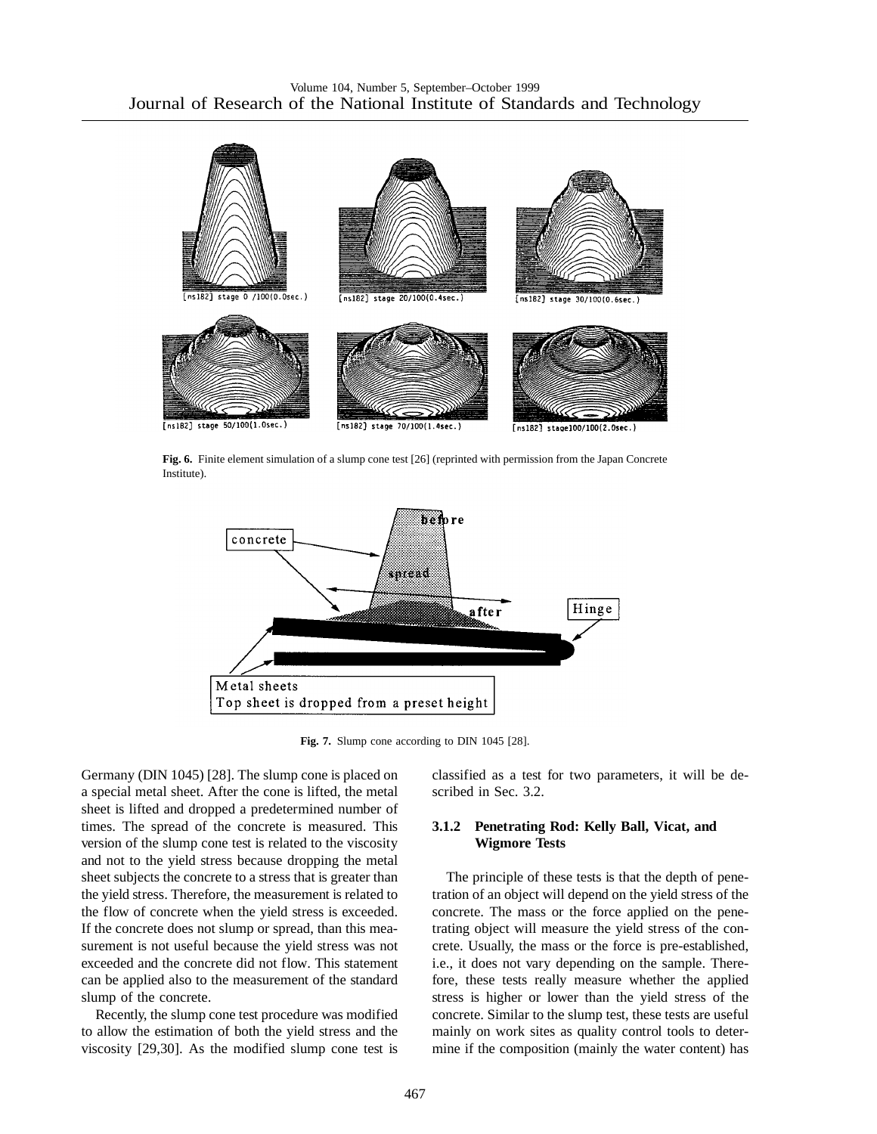

**Fig. 6.** Finite element simulation of a slump cone test [26] (reprinted with permission from the Japan Concrete Institute).



**Fig. 7.** Slump cone according to DIN 1045 [28].

Germany (DIN 1045) [28]. The slump cone is placed on a special metal sheet. After the cone is lifted, the metal sheet is lifted and dropped a predetermined number of times. The spread of the concrete is measured. This version of the slump cone test is related to the viscosity and not to the yield stress because dropping the metal sheet subjects the concrete to a stress that is greater than the yield stress. Therefore, the measurement is related to the flow of concrete when the yield stress is exceeded. If the concrete does not slump or spread, than this measurement is not useful because the yield stress was not exceeded and the concrete did not flow. This statement can be applied also to the measurement of the standard slump of the concrete.

Recently, the slump cone test procedure was modified to allow the estimation of both the yield stress and the viscosity [29,30]. As the modified slump cone test is classified as a test for two parameters, it will be described in Sec. 3.2.

## **3.1.2 Penetrating Rod: Kelly Ball, Vicat, and Wigmore Tests**

The principle of these tests is that the depth of penetration of an object will depend on the yield stress of the concrete. The mass or the force applied on the penetrating object will measure the yield stress of the concrete. Usually, the mass or the force is pre-established, i.e., it does not vary depending on the sample. Therefore, these tests really measure whether the applied stress is higher or lower than the yield stress of the concrete. Similar to the slump test, these tests are useful mainly on work sites as quality control tools to determine if the composition (mainly the water content) has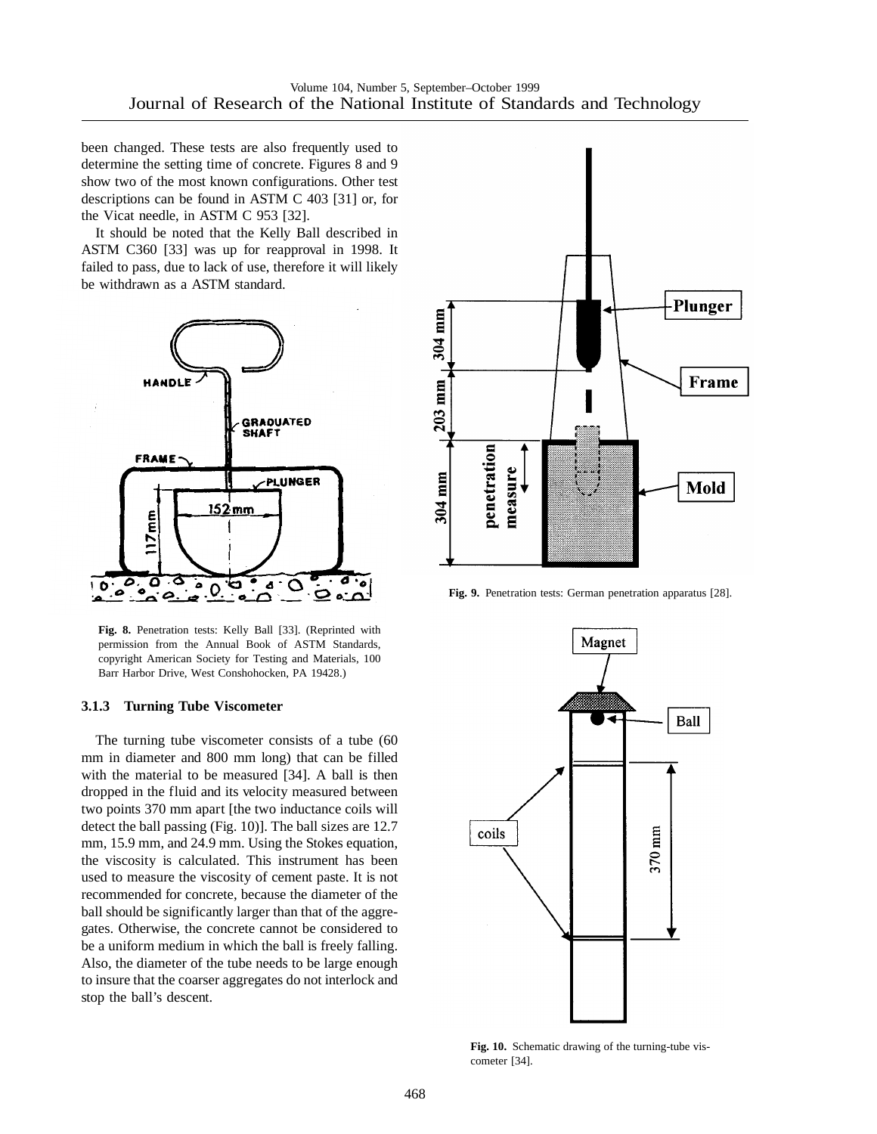been changed. These tests are also frequently used to determine the setting time of concrete. Figures 8 and 9 show two of the most known configurations. Other test descriptions can be found in ASTM C 403 [31] or, for the Vicat needle, in ASTM C 953 [32].

It should be noted that the Kelly Ball described in ASTM C360 [33] was up for reapproval in 1998. It failed to pass, due to lack of use, therefore it will likely be withdrawn as a ASTM standard.



**Fig. 8.** Penetration tests: Kelly Ball [33]. (Reprinted with permission from the Annual Book of ASTM Standards, copyright American Society for Testing and Materials, 100 Barr Harbor Drive, West Conshohocken, PA 19428.)

## **3.1.3 Turning Tube Viscometer**

The turning tube viscometer consists of a tube (60 mm in diameter and 800 mm long) that can be filled with the material to be measured [34]. A ball is then dropped in the fluid and its velocity measured between two points 370 mm apart [the two inductance coils will detect the ball passing (Fig. 10)]. The ball sizes are 12.7 mm, 15.9 mm, and 24.9 mm. Using the Stokes equation, the viscosity is calculated. This instrument has been used to measure the viscosity of cement paste. It is not recommended for concrete, because the diameter of the ball should be significantly larger than that of the aggregates. Otherwise, the concrete cannot be considered to be a uniform medium in which the ball is freely falling. Also, the diameter of the tube needs to be large enough to insure that the coarser aggregates do not interlock and stop the ball's descent.



**Fig. 9.** Penetration tests: German penetration apparatus [28].



**Fig. 10.** Schematic drawing of the turning-tube viscometer [34].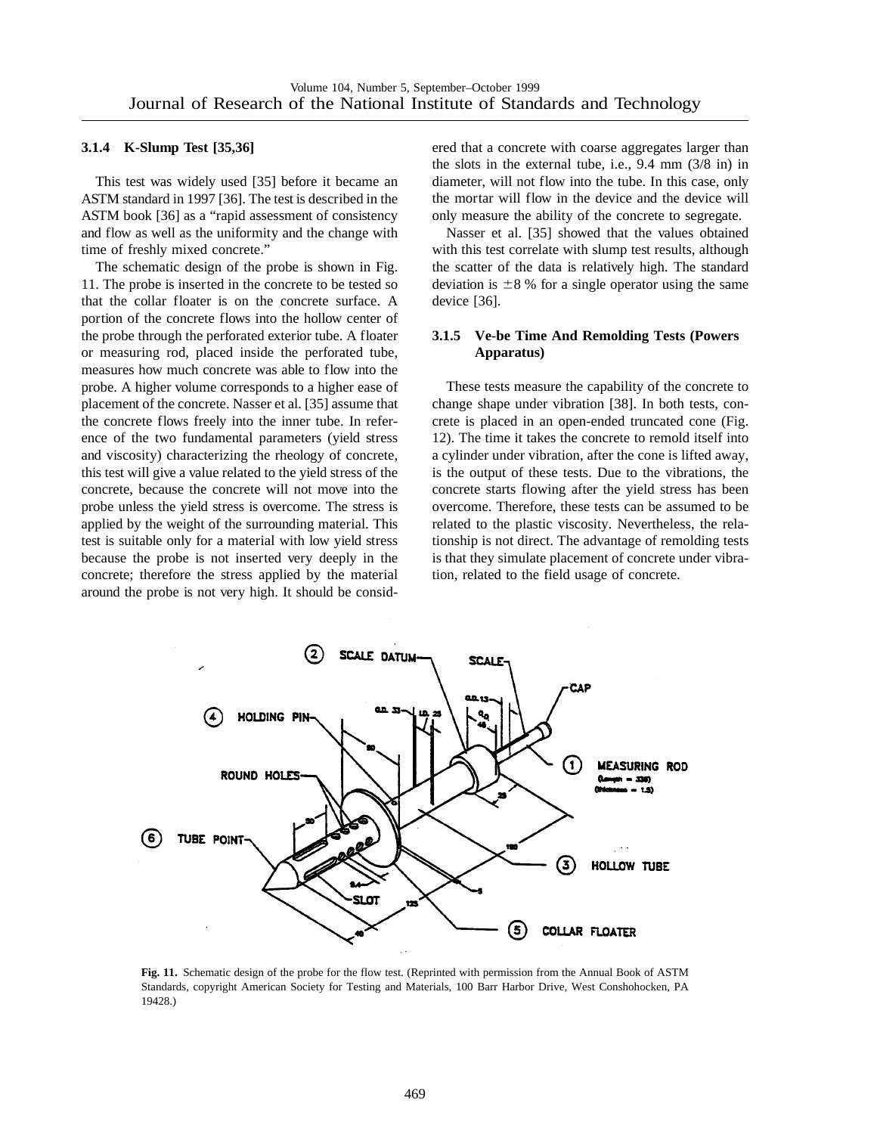#### **3.1.4 K-Slump Test [35,36]**

This test was widely used [35] before it became an ASTM standard in 1997 [36]. The test is described in the ASTM book [36] as a "rapid assessment of consistency and flow as well as the uniformity and the change with time of freshly mixed concrete."

The schematic design of the probe is shown in Fig. 11. The probe is inserted in the concrete to be tested so that the collar floater is on the concrete surface. A portion of the concrete flows into the hollow center of the probe through the perforated exterior tube. A floater or measuring rod, placed inside the perforated tube, measures how much concrete was able to flow into the probe. A higher volume corresponds to a higher ease of placement of the concrete. Nasser et al. [35] assume that the concrete flows freely into the inner tube. In reference of the two fundamental parameters (yield stress and viscosity) characterizing the rheology of concrete, this test will give a value related to the yield stress of the concrete, because the concrete will not move into the probe unless the yield stress is overcome. The stress is applied by the weight of the surrounding material. This test is suitable only for a material with low yield stress because the probe is not inserted very deeply in the concrete; therefore the stress applied by the material around the probe is not very high. It should be considered that a concrete with coarse aggregates larger than the slots in the external tube, i.e., 9.4 mm (3/8 in) in diameter, will not flow into the tube. In this case, only the mortar will flow in the device and the device will only measure the ability of the concrete to segregate.

Nasser et al. [35] showed that the values obtained with this test correlate with slump test results, although the scatter of the data is relatively high. The standard deviation is  $\pm 8$  % for a single operator using the same device [36].

# **3.1.5 Ve-be Time And Remolding Tests (Powers Apparatus)**

These tests measure the capability of the concrete to change shape under vibration [38]. In both tests, concrete is placed in an open-ended truncated cone (Fig. 12). The time it takes the concrete to remold itself into a cylinder under vibration, after the cone is lifted away, is the output of these tests. Due to the vibrations, the concrete starts flowing after the yield stress has been overcome. Therefore, these tests can be assumed to be related to the plastic viscosity. Nevertheless, the relationship is not direct. The advantage of remolding tests is that they simulate placement of concrete under vibration, related to the field usage of concrete.



**Fig. 11.** Schematic design of the probe for the flow test. (Reprinted with permission from the Annual Book of ASTM Standards, copyright American Society for Testing and Materials, 100 Barr Harbor Drive, West Conshohocken, PA 19428.)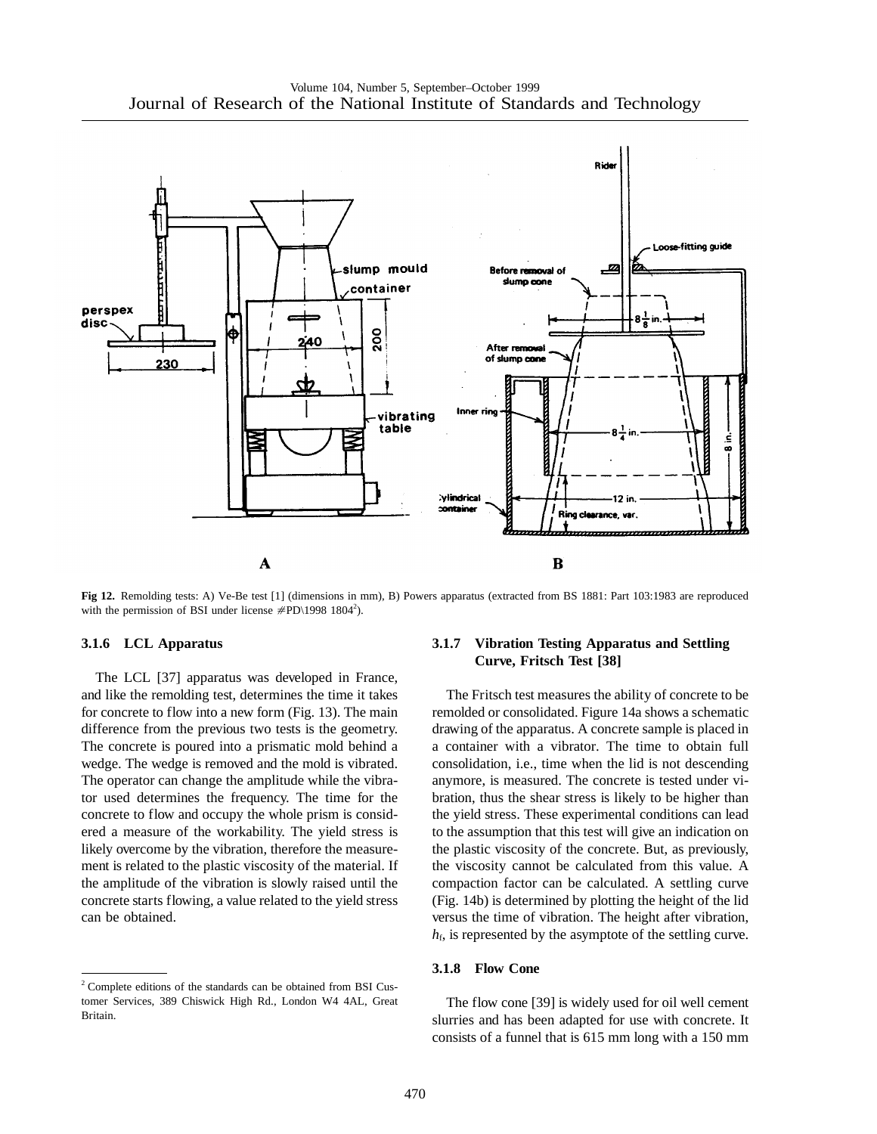

**Fig 12.** Remolding tests: A) Ve-Be test [1] (dimensions in mm), B) Powers apparatus (extracted from BS 1881: Part 103:1983 are reproduced with the permission of BSI under license  $\#PD\backslash 1998 \ 1804^2$ ).

#### **3.1.6 LCL Apparatus**

The LCL [37] apparatus was developed in France, and like the remolding test, determines the time it takes for concrete to flow into a new form (Fig. 13). The main difference from the previous two tests is the geometry. The concrete is poured into a prismatic mold behind a wedge. The wedge is removed and the mold is vibrated. The operator can change the amplitude while the vibrator used determines the frequency. The time for the concrete to flow and occupy the whole prism is considered a measure of the workability. The yield stress is likely overcome by the vibration, therefore the measurement is related to the plastic viscosity of the material. If the amplitude of the vibration is slowly raised until the concrete starts flowing, a value related to the yield stress can be obtained.

# **3.1.7 Vibration Testing Apparatus and Settling Curve, Fritsch Test [38]**

The Fritsch test measures the ability of concrete to be remolded or consolidated. Figure 14a shows a schematic drawing of the apparatus. A concrete sample is placed in a container with a vibrator. The time to obtain full consolidation, i.e., time when the lid is not descending anymore, is measured. The concrete is tested under vibration, thus the shear stress is likely to be higher than the yield stress. These experimental conditions can lead to the assumption that this test will give an indication on the plastic viscosity of the concrete. But, as previously, the viscosity cannot be calculated from this value. A compaction factor can be calculated. A settling curve (Fig. 14b) is determined by plotting the height of the lid versus the time of vibration. The height after vibration,  $h_f$ , is represented by the asymptote of the settling curve.

#### **3.1.8 Flow Cone**

The flow cone [39] is widely used for oil well cement slurries and has been adapted for use with concrete. It consists of a funnel that is 615 mm long with a 150 mm

<sup>2</sup> Complete editions of the standards can be obtained from BSI Customer Services, 389 Chiswick High Rd., London W4 4AL, Great Britain.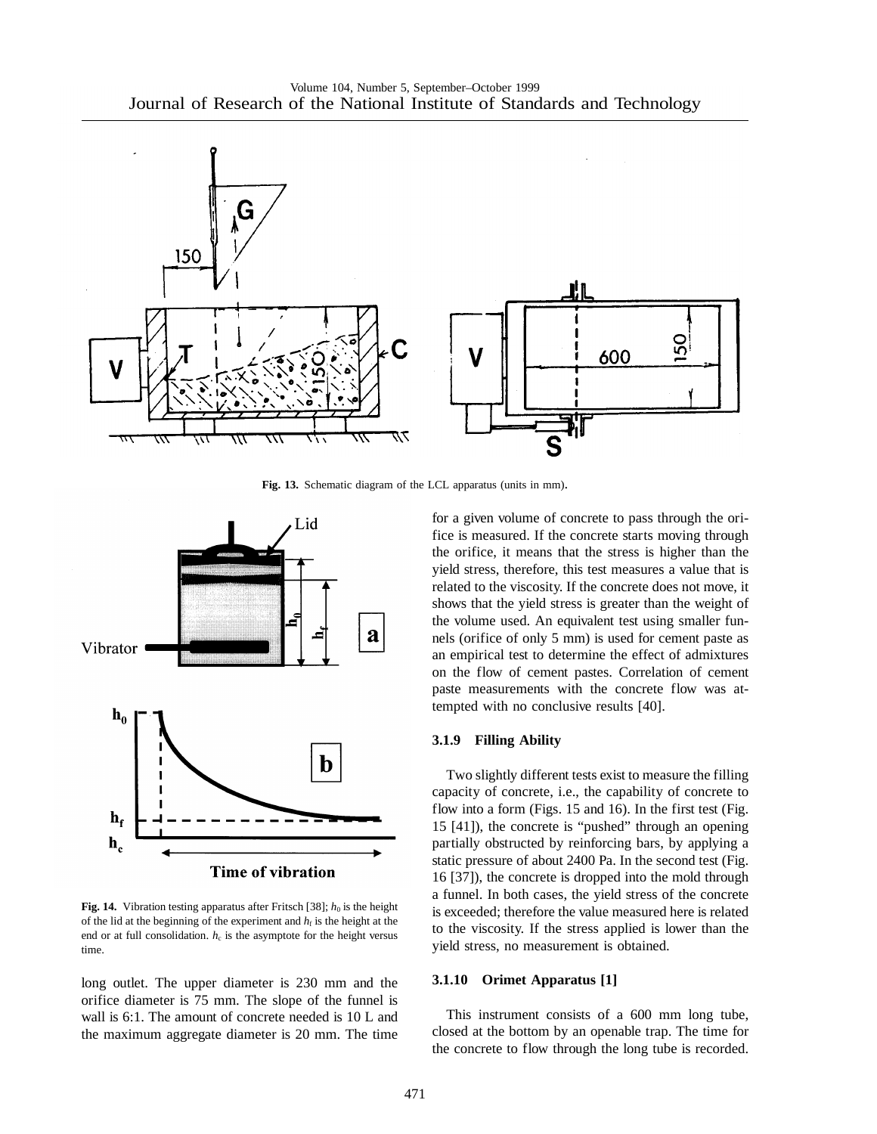

**Fig. 13.** Schematic diagram of the LCL apparatus (units in mm).



**Fig. 14.** Vibration testing apparatus after Fritsch [38];  $h_0$  is the height of the lid at the beginning of the experiment and  $h_f$  is the height at the end or at full consolidation.  $h_c$  is the asymptote for the height versus time.

long outlet. The upper diameter is 230 mm and the orifice diameter is 75 mm. The slope of the funnel is wall is 6:1. The amount of concrete needed is 10 L and the maximum aggregate diameter is 20 mm. The time for a given volume of concrete to pass through the orifice is measured. If the concrete starts moving through the orifice, it means that the stress is higher than the yield stress, therefore, this test measures a value that is related to the viscosity. If the concrete does not move, it shows that the yield stress is greater than the weight of the volume used. An equivalent test using smaller funnels (orifice of only 5 mm) is used for cement paste as an empirical test to determine the effect of admixtures on the flow of cement pastes. Correlation of cement paste measurements with the concrete flow was attempted with no conclusive results [40].

#### **3.1.9 Filling Ability**

Two slightly different tests exist to measure the filling capacity of concrete, i.e., the capability of concrete to flow into a form (Figs. 15 and 16). In the first test (Fig. 15 [41]), the concrete is "pushed" through an opening partially obstructed by reinforcing bars, by applying a static pressure of about 2400 Pa. In the second test (Fig. 16 [37]), the concrete is dropped into the mold through a funnel. In both cases, the yield stress of the concrete is exceeded; therefore the value measured here is related to the viscosity. If the stress applied is lower than the yield stress, no measurement is obtained.

#### **3.1.10 Orimet Apparatus [1]**

This instrument consists of a 600 mm long tube, closed at the bottom by an openable trap. The time for the concrete to flow through the long tube is recorded.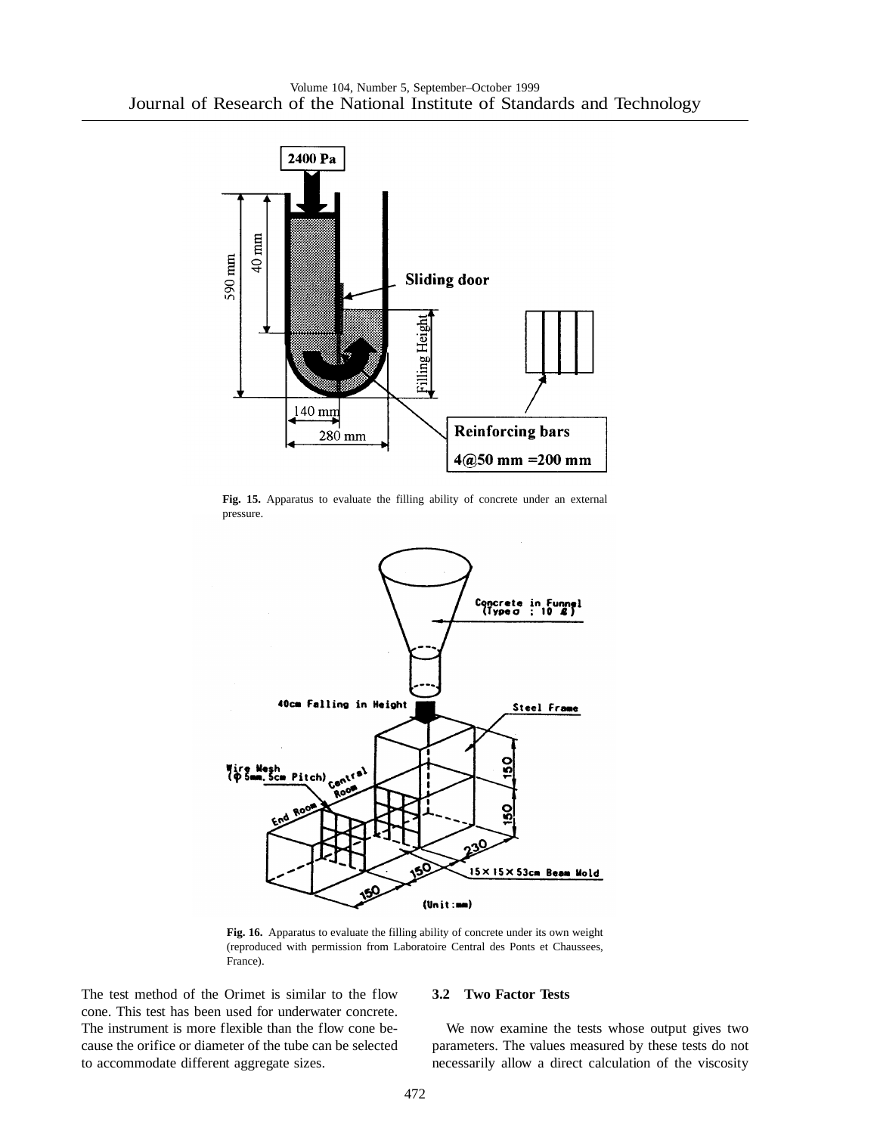

Fig. 15. Apparatus to evaluate the filling ability of concrete under an external pressure.



**Fig. 16.** Apparatus to evaluate the filling ability of concrete under its own weight (reproduced with permission from Laboratoire Central des Ponts et Chaussees, France).

The test method of the Orimet is similar to the flow cone. This test has been used for underwater concrete. The instrument is more flexible than the flow cone because the orifice or diameter of the tube can be selected to accommodate different aggregate sizes.

#### **3.2 Two Factor Tests**

We now examine the tests whose output gives two parameters. The values measured by these tests do not necessarily allow a direct calculation of the viscosity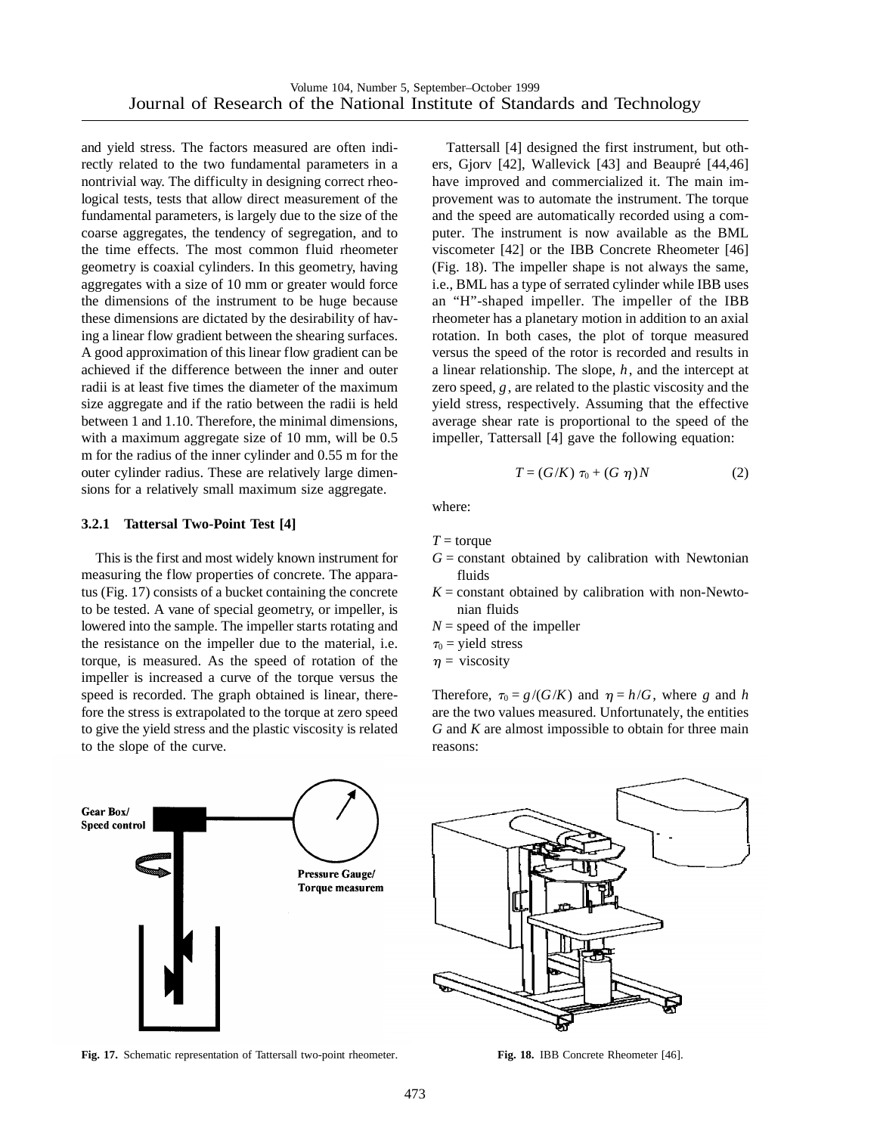and yield stress. The factors measured are often indirectly related to the two fundamental parameters in a nontrivial way. The difficulty in designing correct rheological tests, tests that allow direct measurement of the fundamental parameters, is largely due to the size of the coarse aggregates, the tendency of segregation, and to the time effects. The most common fluid rheometer geometry is coaxial cylinders. In this geometry, having aggregates with a size of 10 mm or greater would force the dimensions of the instrument to be huge because these dimensions are dictated by the desirability of having a linear flow gradient between the shearing surfaces. A good approximation of this linear flow gradient can be achieved if the difference between the inner and outer radii is at least five times the diameter of the maximum size aggregate and if the ratio between the radii is held between 1 and 1.10. Therefore, the minimal dimensions, with a maximum aggregate size of 10 mm, will be 0.5 m for the radius of the inner cylinder and 0.55 m for the outer cylinder radius. These are relatively large dimensions for a relatively small maximum size aggregate.

#### **3.2.1 Tattersal Two-Point Test [4]**

This is the first and most widely known instrument for measuring the flow properties of concrete. The apparatus (Fig. 17) consists of a bucket containing the concrete to be tested. A vane of special geometry, or impeller, is lowered into the sample. The impeller starts rotating and the resistance on the impeller due to the material, i.e. torque, is measured. As the speed of rotation of the impeller is increased a curve of the torque versus the speed is recorded. The graph obtained is linear, therefore the stress is extrapolated to the torque at zero speed to give the yield stress and the plastic viscosity is related to the slope of the curve.

Tattersall [4] designed the first instrument, but others, Gjorv  $[42]$ , Wallevick  $[43]$  and Beaupré  $[44,46]$ have improved and commercialized it. The main improvement was to automate the instrument. The torque and the speed are automatically recorded using a computer. The instrument is now available as the BML viscometer [42] or the IBB Concrete Rheometer [46] (Fig. 18). The impeller shape is not always the same, i.e., BML has a type of serrated cylinder while IBB uses an "H"-shaped impeller. The impeller of the IBB rheometer has a planetary motion in addition to an axial rotation. In both cases, the plot of torque measured versus the speed of the rotor is recorded and results in a linear relationship. The slope, *h*, and the intercept at zero speed, *g*, are related to the plastic viscosity and the yield stress, respectively. Assuming that the effective average shear rate is proportional to the speed of the impeller, Tattersall [4] gave the following equation:

$$
T = (G/K)\ \tau_0 + (G\ \eta)N\tag{2}
$$

where:

*T* = torque

- $G =$  constant obtained by calibration with Newtonian fluids
- $K =$  constant obtained by calibration with non-Newtonian fluids
- $N =$  speed of the impeller
- $\tau_0$  = yield stress
- $\eta$  = viscosity

Therefore,  $\tau_0 = g/(G/K)$  and  $\eta = h/G$ , where *g* and *h* are the two values measured. Unfortunately, the entities *G* and *K* are almost impossible to obtain for three main reasons:



**Fig. 17.** Schematic representation of Tattersall two-point rheometer.



**Fig. 18.** IBB Concrete Rheometer [46].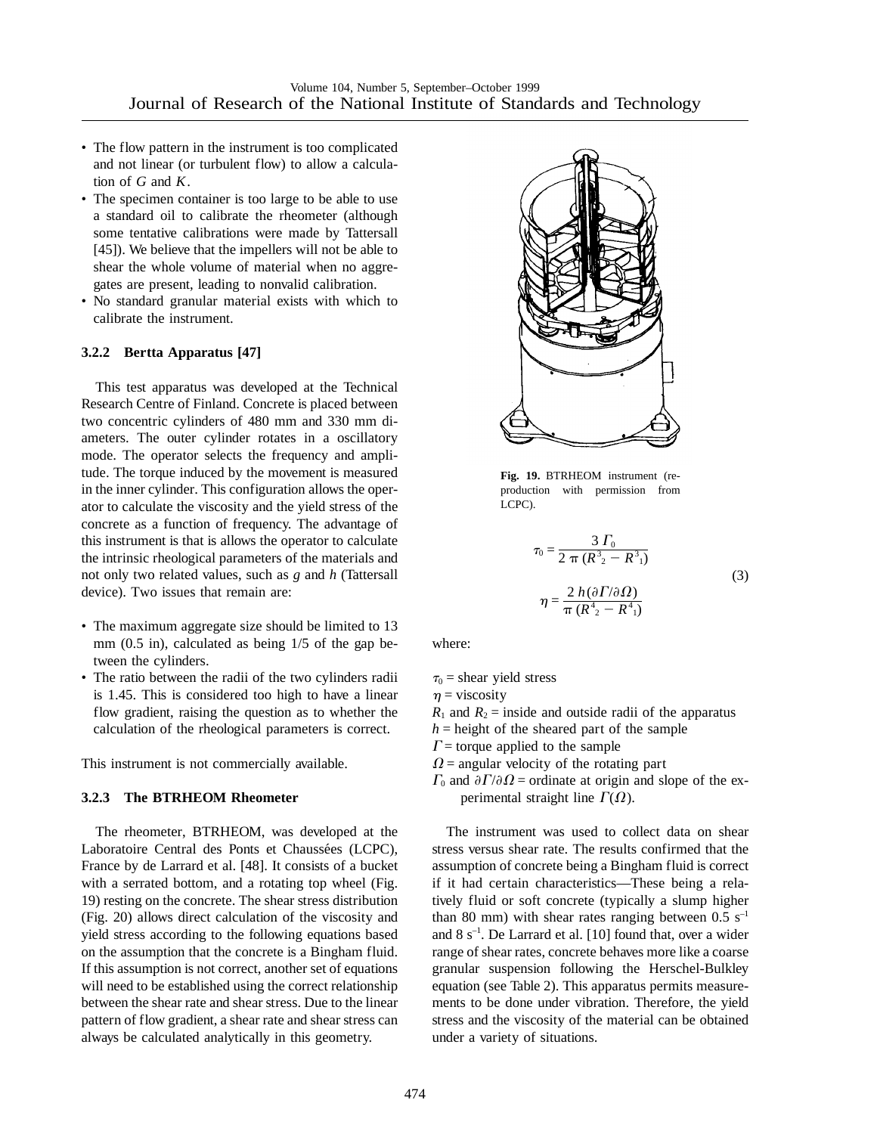- The flow pattern in the instrument is too complicated and not linear (or turbulent flow) to allow a calculation of *G* and *K*.
- The specimen container is too large to be able to use a standard oil to calibrate the rheometer (although some tentative calibrations were made by Tattersall [45]). We believe that the impellers will not be able to shear the whole volume of material when no aggregates are present, leading to nonvalid calibration.
- No standard granular material exists with which to calibrate the instrument.

### **3.2.2 Bertta Apparatus [47]**

This test apparatus was developed at the Technical Research Centre of Finland. Concrete is placed between two concentric cylinders of 480 mm and 330 mm diameters. The outer cylinder rotates in a oscillatory mode. The operator selects the frequency and amplitude. The torque induced by the movement is measured in the inner cylinder. This configuration allows the operator to calculate the viscosity and the yield stress of the concrete as a function of frequency. The advantage of this instrument is that is allows the operator to calculate the intrinsic rheological parameters of the materials and not only two related values, such as *g* and *h* (Tattersall device). Two issues that remain are:

- The maximum aggregate size should be limited to 13 mm (0.5 in), calculated as being 1/5 of the gap between the cylinders.
- The ratio between the radii of the two cylinders radii is 1.45. This is considered too high to have a linear flow gradient, raising the question as to whether the calculation of the rheological parameters is correct.

This instrument is not commercially available.

#### **3.2.3 The BTRHEOM Rheometer**

The rheometer, BTRHEOM, was developed at the Laboratoire Central des Ponts et Chaussées (LCPC), France by de Larrard et al. [48]. It consists of a bucket with a serrated bottom, and a rotating top wheel (Fig. 19) resting on the concrete. The shear stress distribution (Fig. 20) allows direct calculation of the viscosity and yield stress according to the following equations based on the assumption that the concrete is a Bingham fluid. If this assumption is not correct, another set of equations will need to be established using the correct relationship between the shear rate and shear stress. Due to the linear pattern of flow gradient, a shear rate and shear stress can always be calculated analytically in this geometry.



**Fig. 19.** BTRHEOM instrument (reproduction with permission from LCPC).

$$
\tau_0 = \frac{3 \Gamma_0}{2 \pi (R^3{}_2 - R^3{}_1)}
$$
  

$$
\eta = \frac{2 h (\partial \Gamma / \partial \Omega)}{\pi (R^4{}_2 - R^4{}_1)}
$$
 (3)

where:

- $\tau_0$  = shear yield stress
- $\eta$  = viscosity
- $R_1$  and  $R_2$  = inside and outside radii of the apparatus  $h =$  height of the sheared part of the sample  $\Gamma$  = torque applied to the sample  $\Omega$  = angular velocity of the rotating part
- $\Gamma_0$  and  $\partial \Gamma/\partial \Omega$  = ordinate at origin and slope of the experimental straight line  $\Gamma(\Omega)$ .

The instrument was used to collect data on shear stress versus shear rate. The results confirmed that the assumption of concrete being a Bingham fluid is correct if it had certain characteristics—These being a relatively fluid or soft concrete (typically a slump higher than 80 mm) with shear rates ranging between  $0.5 \text{ s}^{-1}$ and  $8 \text{ s}^{-1}$ . De Larrard et al. [10] found that, over a wider range of shear rates, concrete behaves more like a coarse granular suspension following the Herschel-Bulkley equation (see Table 2). This apparatus permits measurements to be done under vibration. Therefore, the yield stress and the viscosity of the material can be obtained under a variety of situations.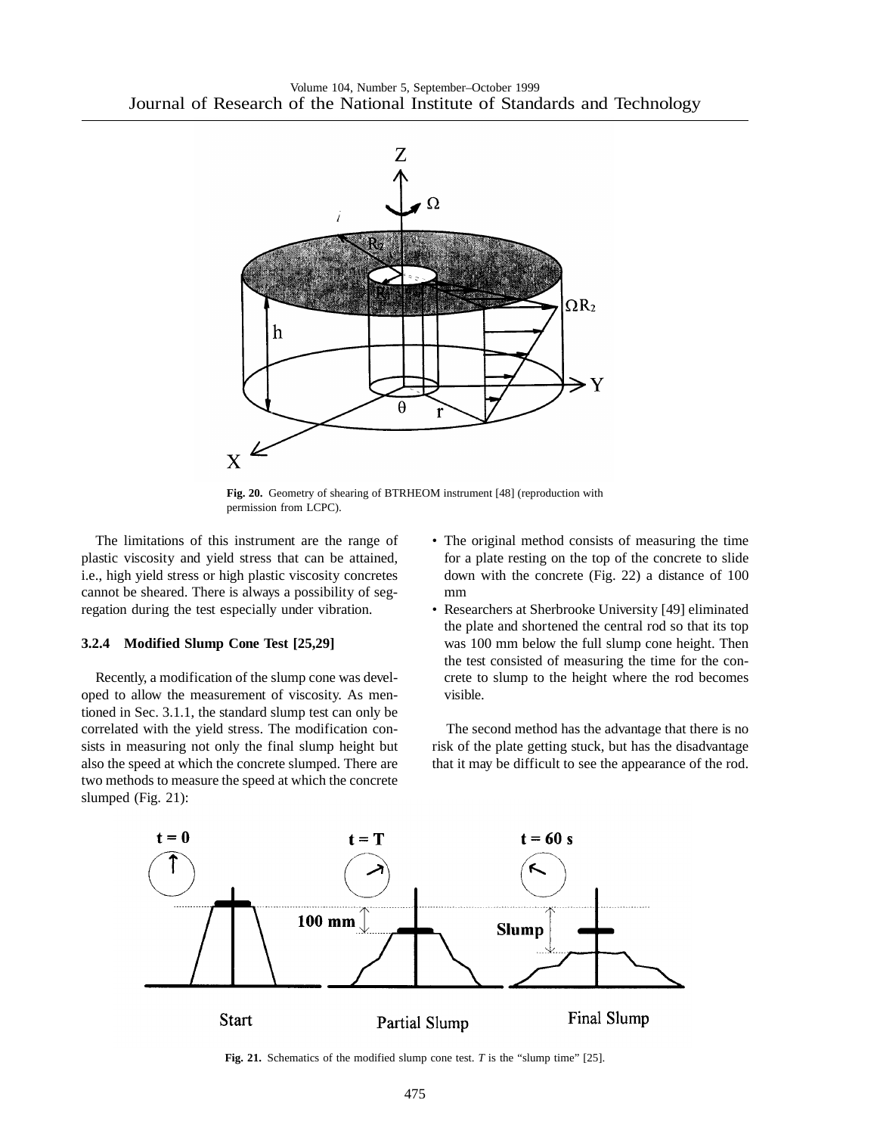

Fig. 20. Geometry of shearing of BTRHEOM instrument [48] (reproduction with permission from LCPC).

The limitations of this instrument are the range of plastic viscosity and yield stress that can be attained, i.e., high yield stress or high plastic viscosity concretes cannot be sheared. There is always a possibility of segregation during the test especially under vibration.

# **3.2.4 Modified Slump Cone Test [25,29]**

Recently, a modification of the slump cone was developed to allow the measurement of viscosity. As mentioned in Sec. 3.1.1, the standard slump test can only be correlated with the yield stress. The modification consists in measuring not only the final slump height but also the speed at which the concrete slumped. There are two methods to measure the speed at which the concrete slumped (Fig. 21):

- The original method consists of measuring the time for a plate resting on the top of the concrete to slide down with the concrete (Fig. 22) a distance of 100 mm
- Researchers at Sherbrooke University [49] eliminated the plate and shortened the central rod so that its top was 100 mm below the full slump cone height. Then the test consisted of measuring the time for the concrete to slump to the height where the rod becomes visible.

The second method has the advantage that there is no risk of the plate getting stuck, but has the disadvantage that it may be difficult to see the appearance of the rod.



**Fig. 21.** Schematics of the modified slump cone test. *T* is the "slump time" [25].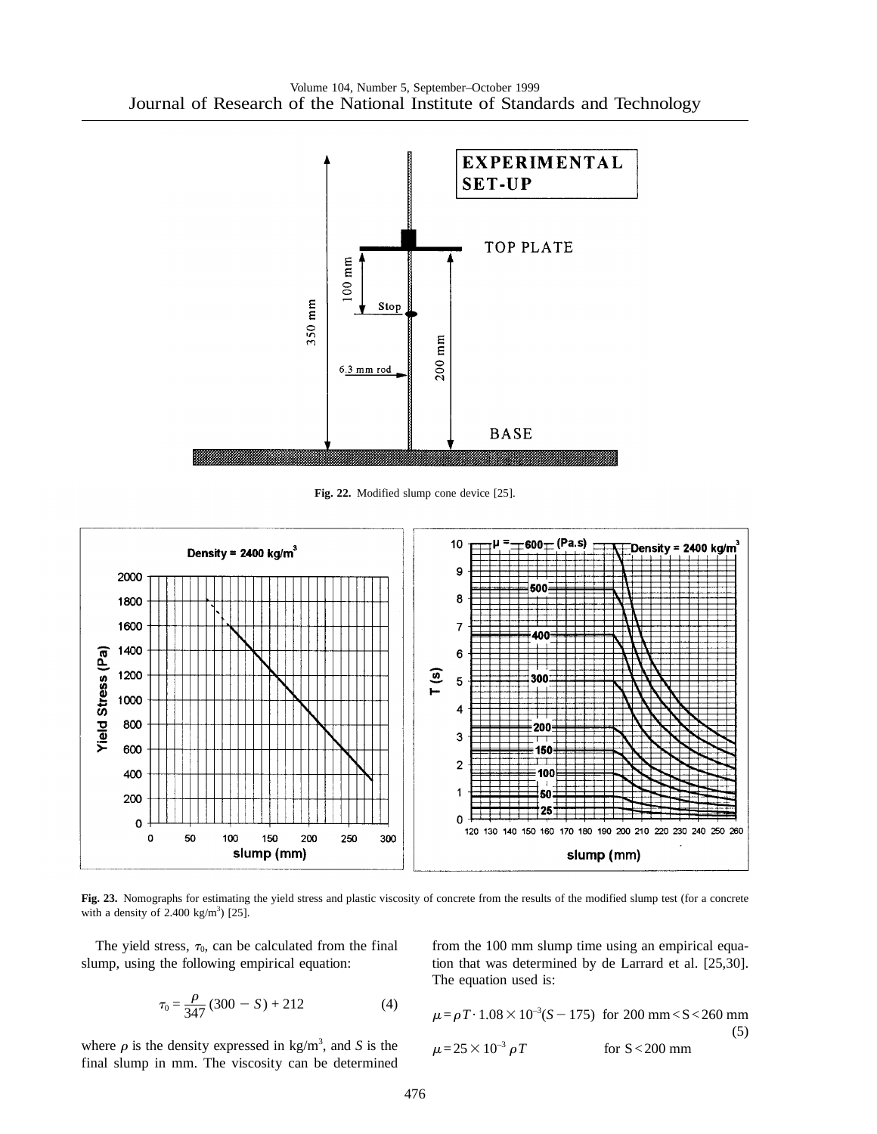

**Fig. 22.** Modified slump cone device [25].



**Fig. 23.** Nomographs for estimating the yield stress and plastic viscosity of concrete from the results of the modified slump test (for a concrete with a density of  $2.400 \text{ kg/m}^3$ ) [25].

The yield stress,  $\tau_0$ , can be calculated from the final slump, using the following empirical equation:

$$
\tau_0 = \frac{\rho}{347} (300 - S) + 212 \tag{4}
$$

where  $\rho$  is the density expressed in kg/m<sup>3</sup>, and *S* is the final slump in mm. The viscosity can be determined from the 100 mm slump time using an empirical equation that was determined by de Larrard et al. [25,30]. The equation used is:

$$
\mu = \rho T \cdot 1.08 \times 10^{-3} (S - 175) \text{ for } 200 \text{ mm} < S < 260 \text{ mm}
$$
  
(5)  

$$
\mu = 25 \times 10^{-3} \rho T \text{ for } S < 200 \text{ mm}
$$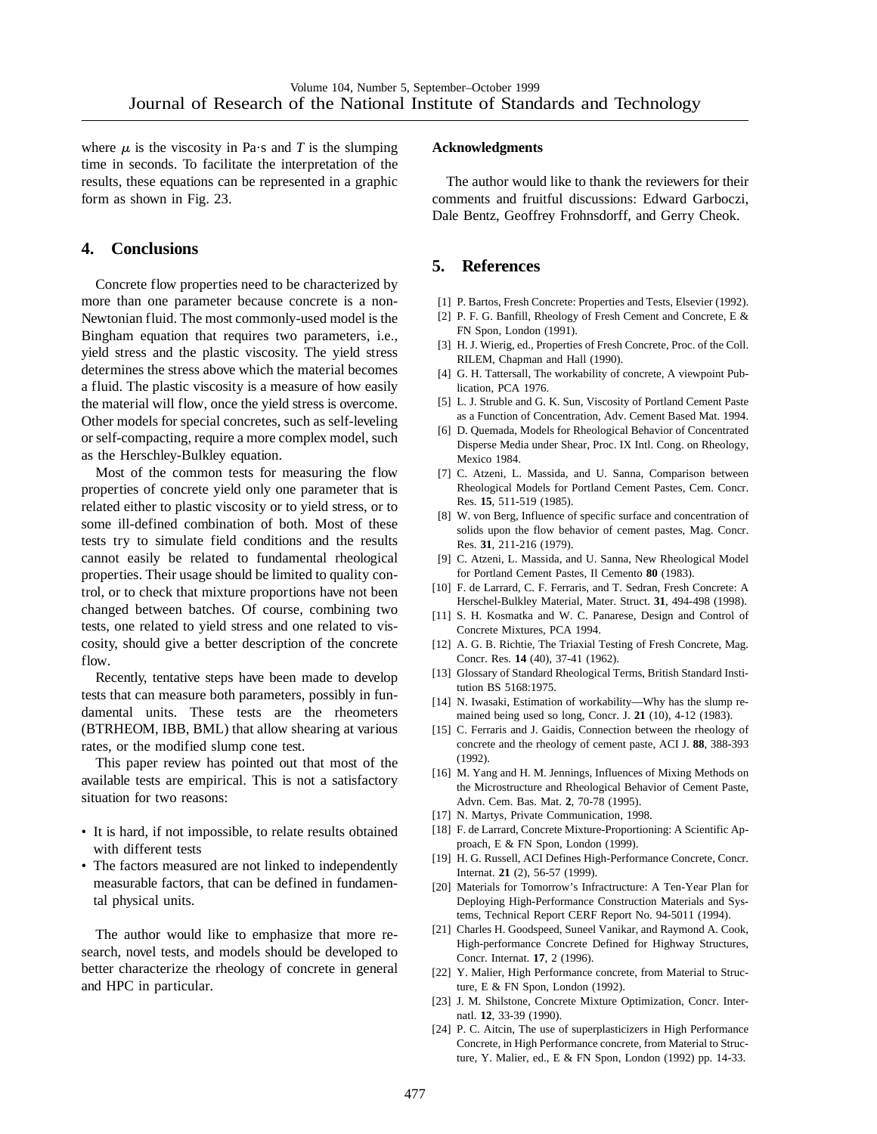where  $\mu$  is the viscosity in Pa $\cdot$ s and *T* is the slumping time in seconds. To facilitate the interpretation of the results, these equations can be represented in a graphic form as shown in Fig. 23.

# **4. Conclusions**

Concrete flow properties need to be characterized by more than one parameter because concrete is a non-Newtonian fluid. The most commonly-used model is the Bingham equation that requires two parameters, i.e., yield stress and the plastic viscosity. The yield stress determines the stress above which the material becomes a fluid. The plastic viscosity is a measure of how easily the material will flow, once the yield stress is overcome. Other models for special concretes, such as self-leveling or self-compacting, require a more complex model, such as the Herschley-Bulkley equation.

Most of the common tests for measuring the flow properties of concrete yield only one parameter that is related either to plastic viscosity or to yield stress, or to some ill-defined combination of both. Most of these tests try to simulate field conditions and the results cannot easily be related to fundamental rheological properties. Their usage should be limited to quality control, or to check that mixture proportions have not been changed between batches. Of course, combining two tests, one related to yield stress and one related to viscosity, should give a better description of the concrete flow.

Recently, tentative steps have been made to develop tests that can measure both parameters, possibly in fundamental units. These tests are the rheometers (BTRHEOM, IBB, BML) that allow shearing at various rates, or the modified slump cone test.

This paper review has pointed out that most of the available tests are empirical. This is not a satisfactory situation for two reasons:

- It is hard, if not impossible, to relate results obtained with different tests
- The factors measured are not linked to independently measurable factors, that can be defined in fundamental physical units.

The author would like to emphasize that more research, novel tests, and models should be developed to better characterize the rheology of concrete in general and HPC in particular.

#### **Acknowledgments**

The author would like to thank the reviewers for their comments and fruitful discussions: Edward Garboczi, Dale Bentz, Geoffrey Frohnsdorff, and Gerry Cheok.

# **5. References**

- [1] P. Bartos, Fresh Concrete: Properties and Tests, Elsevier (1992).
- [2] P. F. G. Banfill, Rheology of Fresh Cement and Concrete, E & FN Spon, London (1991).
- [3] H. J. Wierig, ed., Properties of Fresh Concrete, Proc. of the Coll. RILEM, Chapman and Hall (1990).
- [4] G. H. Tattersall, The workability of concrete, A viewpoint Publication, PCA 1976.
- [5] L. J. Struble and G. K. Sun, Viscosity of Portland Cement Paste as a Function of Concentration, Adv. Cement Based Mat. 1994.
- [6] D. Quemada, Models for Rheological Behavior of Concentrated Disperse Media under Shear, Proc. IX Intl. Cong. on Rheology, Mexico 1984.
- [7] C. Atzeni, L. Massida, and U. Sanna, Comparison between Rheological Models for Portland Cement Pastes, Cem. Concr. Res. **15**, 511-519 (1985).
- [8] W. von Berg, Influence of specific surface and concentration of solids upon the flow behavior of cement pastes, Mag. Concr. Res. **31**, 211-216 (1979).
- [9] C. Atzeni, L. Massida, and U. Sanna, New Rheological Model for Portland Cement Pastes, Il Cemento **80** (1983).
- [10] F. de Larrard, C. F. Ferraris, and T. Sedran, Fresh Concrete: A Herschel-Bulkley Material, Mater. Struct. **31**, 494-498 (1998).
- [11] S. H. Kosmatka and W. C. Panarese, Design and Control of Concrete Mixtures, PCA 1994.
- [12] A. G. B. Richtie, The Triaxial Testing of Fresh Concrete, Mag. Concr. Res. **14** (40), 37-41 (1962).
- [13] Glossary of Standard Rheological Terms, British Standard Institution BS 5168:1975.
- [14] N. Iwasaki, Estimation of workability—Why has the slump remained being used so long, Concr. J. **21** (10), 4-12 (1983).
- [15] C. Ferraris and J. Gaidis, Connection between the rheology of concrete and the rheology of cement paste, ACI J. **88**, 388-393 (1992).
- [16] M. Yang and H. M. Jennings, Influences of Mixing Methods on the Microstructure and Rheological Behavior of Cement Paste, Advn. Cem. Bas. Mat. **2**, 70-78 (1995).
- [17] N. Martys, Private Communication, 1998.
- [18] F. de Larrard, Concrete Mixture-Proportioning: A Scientific Approach, E & FN Spon, London (1999).
- [19] H. G. Russell, ACI Defines High-Performance Concrete, Concr. Internat. **21** (2), 56-57 (1999).
- [20] Materials for Tomorrow's Infractructure: A Ten-Year Plan for Deploying High-Performance Construction Materials and Systems, Technical Report CERF Report No. 94-5011 (1994).
- [21] Charles H. Goodspeed, Suneel Vanikar, and Raymond A. Cook, High-performance Concrete Defined for Highway Structures, Concr. Internat. **17**, 2 (1996).
- [22] Y. Malier, High Performance concrete, from Material to Structure, E & FN Spon, London (1992).
- [23] J. M. Shilstone, Concrete Mixture Optimization, Concr. Internatl. **12**, 33-39 (1990).
- [24] P. C. Aitcin, The use of superplasticizers in High Performance Concrete, in High Performance concrete, from Material to Structure, Y. Malier, ed., E & FN Spon, London (1992) pp. 14-33.